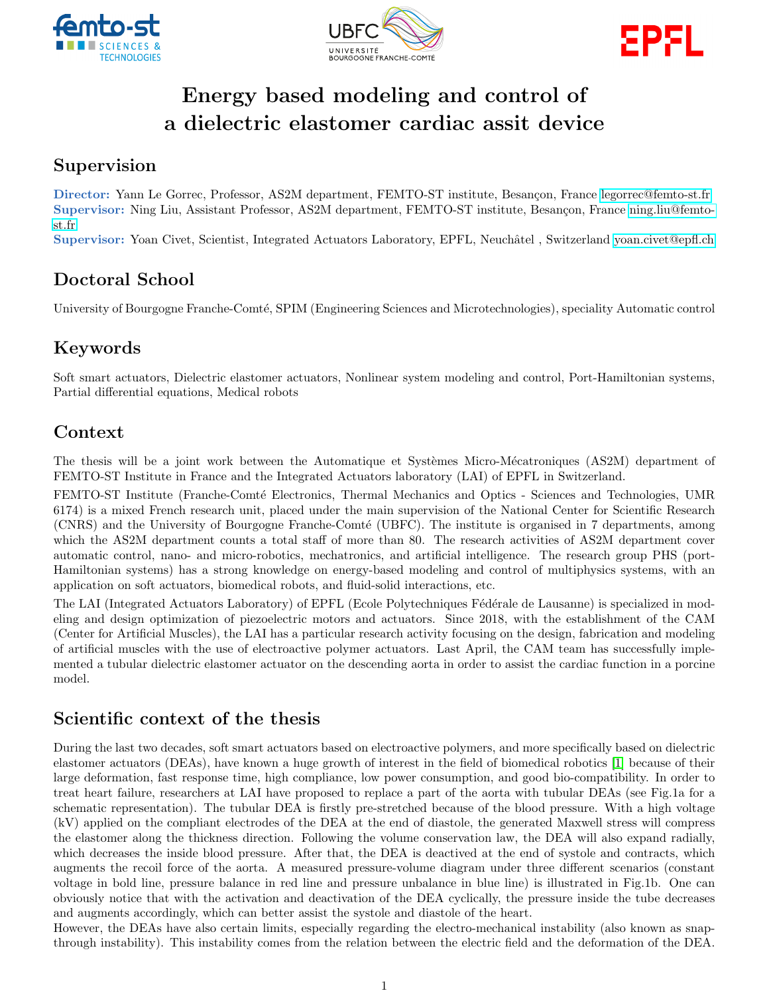





# Energy based modeling and control of a dielectric elastomer cardiac assit device

### Supervision

Director: Yann Le Gorrec, Professor, AS2M department, FEMTO-ST institute, Besançon, France [legorrec@femto-st.fr](mailto:legorrec@femto-st.fr) Supervisor: Ning Liu, Assistant Professor, AS2M department, FEMTO-ST institute, Besançon, France [ning.liu@femto](mailto:ning.liu@femto-st.fr)[st.fr](mailto:ning.liu@femto-st.fr)

Supervisor: Yoan Civet, Scientist, Integrated Actuators Laboratory, EPFL, Neuchâtel, Switzerland [yoan.civet@epfl.ch](mailto:yoan.civet@epfl.ch)

# Doctoral School

University of Bourgogne Franche-Comté, SPIM (Engineering Sciences and Microtechnologies), speciality Automatic control

## Keywords

Soft smart actuators, Dielectric elastomer actuators, Nonlinear system modeling and control, Port-Hamiltonian systems, Partial differential equations, Medical robots

## Context

The thesis will be a joint work between the Automatique et Systèmes Micro-Mécatroniques (AS2M) department of FEMTO-ST Institute in France and the Integrated Actuators laboratory (LAI) of EPFL in Switzerland.

FEMTO-ST Institute (Franche-Comté Electronics, Thermal Mechanics and Optics - Sciences and Technologies, UMR 6174) is a mixed French research unit, placed under the main supervision of the National Center for Scientific Research (CNRS) and the University of Bourgogne Franche-Comté (UBFC). The institute is organised in 7 departments, among which the AS2M department counts a total staff of more than 80. The research activities of AS2M department cover automatic control, nano- and micro-robotics, mechatronics, and artificial intelligence. The research group PHS (port-Hamiltonian systems) has a strong knowledge on energy-based modeling and control of multiphysics systems, with an application on soft actuators, biomedical robots, and fluid-solid interactions, etc.

The LAI (Integrated Actuators Laboratory) of EPFL (Ecole Polytechniques F´ed´erale de Lausanne) is specialized in modeling and design optimization of piezoelectric motors and actuators. Since 2018, with the establishment of the CAM (Center for Artificial Muscles), the LAI has a particular research activity focusing on the design, fabrication and modeling of artificial muscles with the use of electroactive polymer actuators. Last April, the CAM team has successfully implemented a tubular dielectric elastomer actuator on the descending aorta in order to assist the cardiac function in a porcine model.

## Scientific context of the thesis

During the last two decades, soft smart actuators based on electroactive polymers, and more specifically based on dielectric elastomer actuators (DEAs), have known a huge growth of interest in the field of biomedical robotics [\[1\]](#page-2-0) because of their large deformation, fast response time, high compliance, low power consumption, and good bio-compatibility. In order to treat heart failure, researchers at LAI have proposed to replace a part of the aorta with tubular DEAs (see Fig.1a for a schematic representation). The tubular DEA is firstly pre-stretched because of the blood pressure. With a high voltage (kV) applied on the compliant electrodes of the DEA at the end of diastole, the generated Maxwell stress will compress the elastomer along the thickness direction. Following the volume conservation law, the DEA will also expand radially, which decreases the inside blood pressure. After that, the DEA is deactived at the end of systole and contracts, which augments the recoil force of the aorta. A measured pressure-volume diagram under three different scenarios (constant voltage in bold line, pressure balance in red line and pressure unbalance in blue line) is illustrated in Fig.1b. One can obviously notice that with the activation and deactivation of the DEA cyclically, the pressure inside the tube decreases and augments accordingly, which can better assist the systole and diastole of the heart.

However, the DEAs have also certain limits, especially regarding the electro-mechanical instability (also known as snapthrough instability). This instability comes from the relation between the electric field and the deformation of the DEA.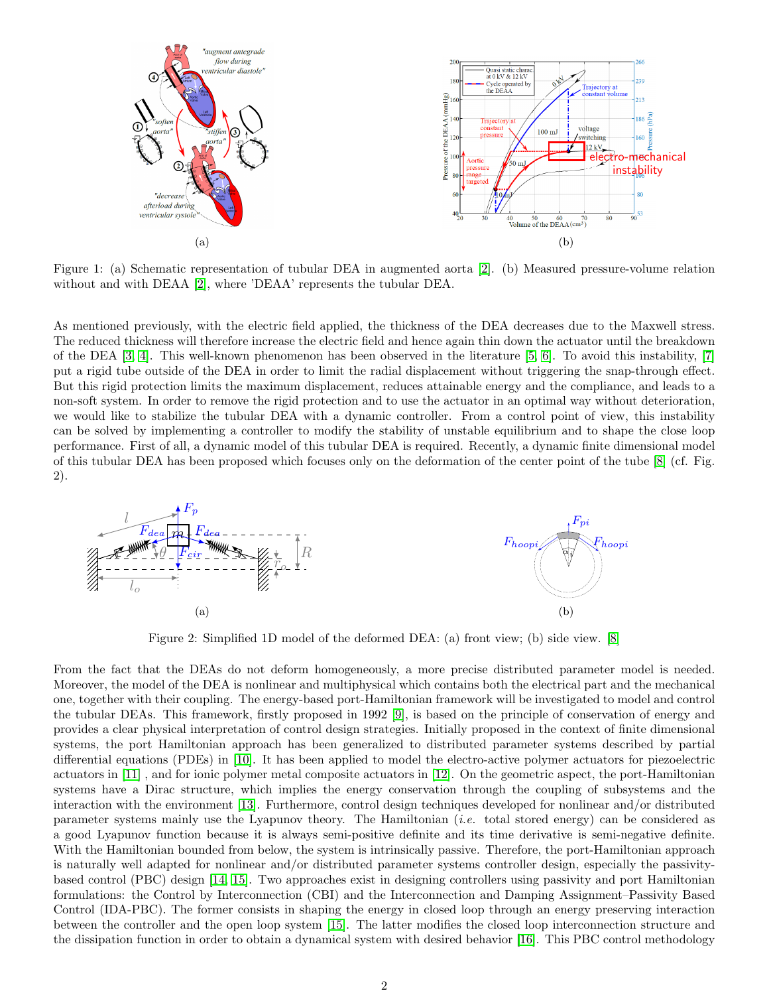

Figure 1: (a) Schematic representation of tubular DEA in augmented aorta [\[2\]](#page-2-1). (b) Measured pressure-volume relation without and with DEAA [\[2\]](#page-2-1), where 'DEAA' represents the tubular DEA.

As mentioned previously, with the electric field applied, the thickness of the DEA decreases due to the Maxwell stress. The reduced thickness will therefore increase the electric field and hence again thin down the actuator until the breakdown of the DEA [\[3,](#page-2-2) [4\]](#page-2-3). This well-known phenomenon has been observed in the literature [\[5,](#page-2-4) [6\]](#page-2-5). To avoid this instability, [\[7\]](#page-3-0) put a rigid tube outside of the DEA in order to limit the radial displacement without triggering the snap-through effect. But this rigid protection limits the maximum displacement, reduces attainable energy and the compliance, and leads to a non-soft system. In order to remove the rigid protection and to use the actuator in an optimal way without deterioration, we would like to stabilize the tubular DEA with a dynamic controller. From a control point of view, this instability can be solved by implementing a controller to modify the stability of unstable equilibrium and to shape the close loop performance. First of all, a dynamic model of this tubular DEA is required. Recently, a dynamic finite dimensional model of this tubular DEA has been proposed which focuses only on the deformation of the center point of the tube [\[8\]](#page-3-1) (cf. Fig. 2).



Figure 2: Simplified 1D model of the deformed DEA: (a) front view; (b) side view. [\[8\]](#page-3-1)

From the fact that the DEAs do not deform homogeneously, a more precise distributed parameter model is needed. Moreover, the model of the DEA is nonlinear and multiphysical which contains both the electrical part and the mechanical one, together with their coupling. The energy-based port-Hamiltonian framework will be investigated to model and control the tubular DEAs. This framework, firstly proposed in 1992 [\[9\]](#page-3-2), is based on the principle of conservation of energy and provides a clear physical interpretation of control design strategies. Initially proposed in the context of finite dimensional systems, the port Hamiltonian approach has been generalized to distributed parameter systems described by partial differential equations (PDEs) in [\[10\]](#page-3-3). It has been applied to model the electro-active polymer actuators for piezoelectric actuators in [\[11\]](#page-3-4) , and for ionic polymer metal composite actuators in [\[12\]](#page-3-5). On the geometric aspect, the port-Hamiltonian systems have a Dirac structure, which implies the energy conservation through the coupling of subsystems and the interaction with the environment [\[13\]](#page-3-6). Furthermore, control design techniques developed for nonlinear and/or distributed parameter systems mainly use the Lyapunov theory. The Hamiltonian (i.e. total stored energy) can be considered as a good Lyapunov function because it is always semi-positive definite and its time derivative is semi-negative definite. With the Hamiltonian bounded from below, the system is intrinsically passive. Therefore, the port-Hamiltonian approach is naturally well adapted for nonlinear and/or distributed parameter systems controller design, especially the passivitybased control (PBC) design [\[14,](#page-3-7) [15\]](#page-3-8). Two approaches exist in designing controllers using passivity and port Hamiltonian formulations: the Control by Interconnection (CBI) and the Interconnection and Damping Assignment–Passivity Based Control (IDA-PBC). The former consists in shaping the energy in closed loop through an energy preserving interaction between the controller and the open loop system [\[15\]](#page-3-8). The latter modifies the closed loop interconnection structure and the dissipation function in order to obtain a dynamical system with desired behavior [\[16\]](#page-3-9). This PBC control methodology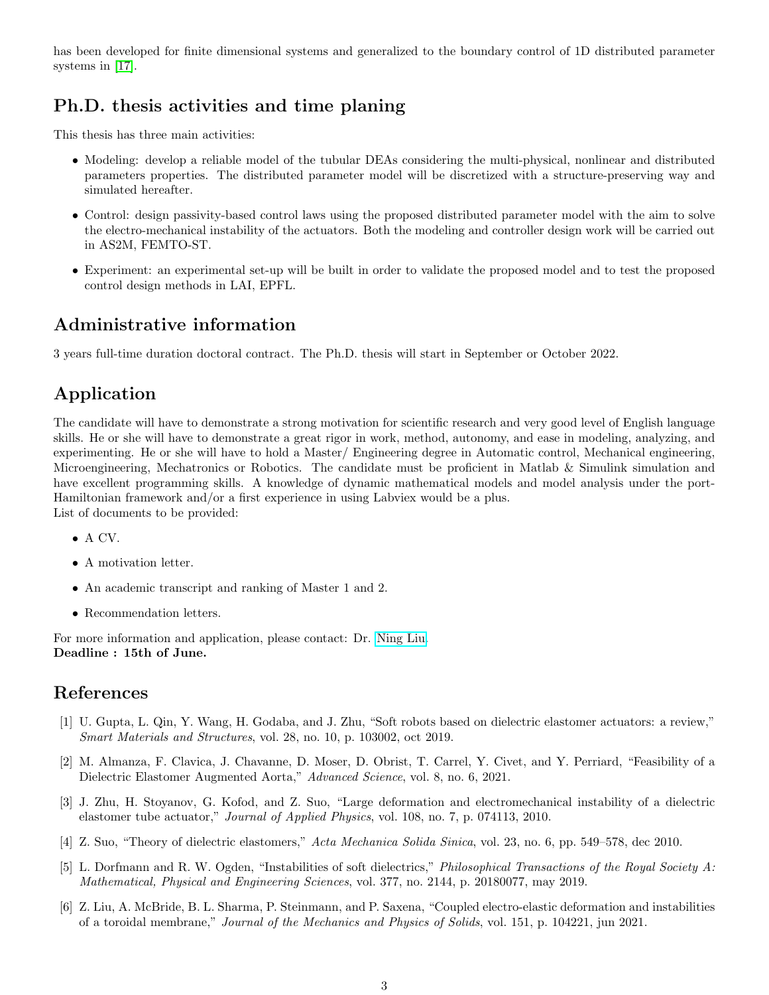has been developed for finite dimensional systems and generalized to the boundary control of 1D distributed parameter systems in [\[17\]](#page-3-10).

## Ph.D. thesis activities and time planing

This thesis has three main activities:

- Modeling: develop a reliable model of the tubular DEAs considering the multi-physical, nonlinear and distributed parameters properties. The distributed parameter model will be discretized with a structure-preserving way and simulated hereafter.
- Control: design passivity-based control laws using the proposed distributed parameter model with the aim to solve the electro-mechanical instability of the actuators. Both the modeling and controller design work will be carried out in AS2M, FEMTO-ST.
- Experiment: an experimental set-up will be built in order to validate the proposed model and to test the proposed control design methods in LAI, EPFL.

#### Administrative information

3 years full-time duration doctoral contract. The Ph.D. thesis will start in September or October 2022.

## Application

The candidate will have to demonstrate a strong motivation for scientific research and very good level of English language skills. He or she will have to demonstrate a great rigor in work, method, autonomy, and ease in modeling, analyzing, and experimenting. He or she will have to hold a Master/ Engineering degree in Automatic control, Mechanical engineering, Microengineering, Mechatronics or Robotics. The candidate must be proficient in Matlab & Simulink simulation and have excellent programming skills. A knowledge of dynamic mathematical models and model analysis under the port-Hamiltonian framework and/or a first experience in using Labviex would be a plus. List of documents to be provided:

- A CV.
- A motivation letter.
- An academic transcript and ranking of Master 1 and 2.
- Recommendation letters.

For more information and application, please contact: Dr. [Ning Liu.](mailto:ning.liu@femto-st.fr) Deadline : 15th of June.

#### References

- <span id="page-2-0"></span>[1] U. Gupta, L. Qin, Y. Wang, H. Godaba, and J. Zhu, "Soft robots based on dielectric elastomer actuators: a review," Smart Materials and Structures, vol. 28, no. 10, p. 103002, oct 2019.
- <span id="page-2-1"></span>[2] M. Almanza, F. Clavica, J. Chavanne, D. Moser, D. Obrist, T. Carrel, Y. Civet, and Y. Perriard, "Feasibility of a Dielectric Elastomer Augmented Aorta," Advanced Science, vol. 8, no. 6, 2021.
- <span id="page-2-2"></span>[3] J. Zhu, H. Stoyanov, G. Kofod, and Z. Suo, "Large deformation and electromechanical instability of a dielectric elastomer tube actuator," Journal of Applied Physics, vol. 108, no. 7, p. 074113, 2010.
- <span id="page-2-3"></span>[4] Z. Suo, "Theory of dielectric elastomers," Acta Mechanica Solida Sinica, vol. 23, no. 6, pp. 549–578, dec 2010.
- <span id="page-2-4"></span>[5] L. Dorfmann and R. W. Ogden, "Instabilities of soft dielectrics," Philosophical Transactions of the Royal Society A: Mathematical, Physical and Engineering Sciences, vol. 377, no. 2144, p. 20180077, may 2019.
- <span id="page-2-5"></span>[6] Z. Liu, A. McBride, B. L. Sharma, P. Steinmann, and P. Saxena, "Coupled electro-elastic deformation and instabilities of a toroidal membrane," Journal of the Mechanics and Physics of Solids, vol. 151, p. 104221, jun 2021.